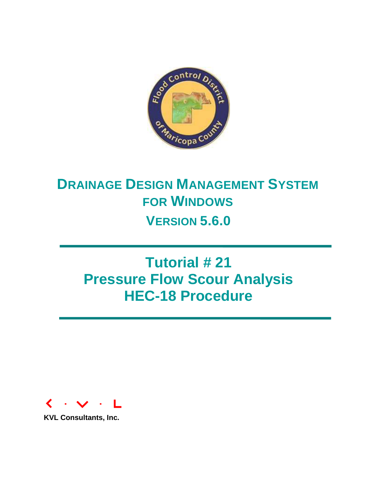

# **DRAINAGE DESIGN MANAGEMENT SYSTEM FOR WINDOWS VERSION 5.6.0**

# **Tutorial # 21 Pressure Flow Scour Analysis HEC-18 Procedure**



**KVL Consultants, Inc.**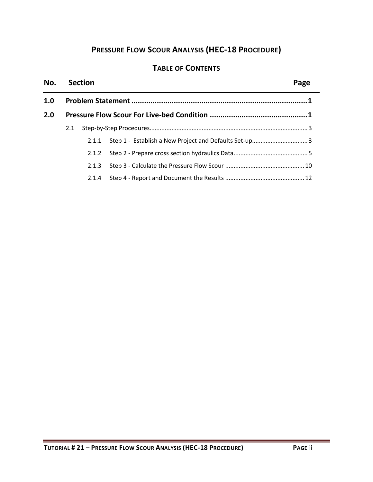# **PRESSURE FLOW SCOUR ANALYSIS (HEC-18 PROCEDURE)**

# **TABLE OF CONTENTS**

| No. |     | <b>Section</b> |  |  |  |
|-----|-----|----------------|--|--|--|
| 1.0 |     |                |  |  |  |
| 2.0 |     |                |  |  |  |
|     | 2.1 |                |  |  |  |
|     |     | 2.1.1          |  |  |  |
|     |     |                |  |  |  |
|     |     | 2.1.3          |  |  |  |
|     |     | 2.1.4          |  |  |  |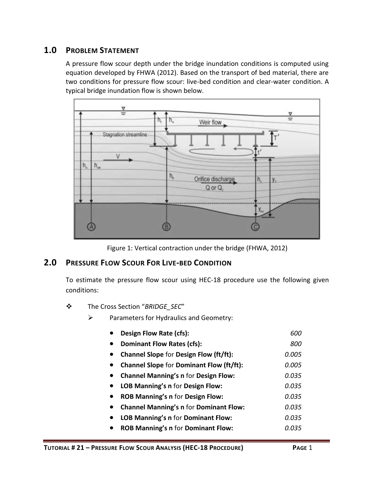# <span id="page-2-0"></span>**1.0 PROBLEM STATEMENT**

A pressure flow scour depth under the bridge inundation conditions is computed using equation developed by FHWA (2012). Based on the transport of bed material, there are two conditions for pressure flow scour: live-bed condition and clear-water condition. A typical bridge inundation flow is shown below.



Figure 1: Vertical contraction under the bridge (FHWA, 2012)

## <span id="page-2-1"></span>**2.0 PRESSURE FLOW SCOUR FOR LIVE-BED CONDITION**

To estimate the pressure flow scour using HEC-18 procedure use the following given conditions:

- The Cross Section "*BRIDGE\_SEC*"
	- $\triangleright$  Parameters for Hydraulics and Geometry:

| Design Flow Rate (cfs):                                  | 600   |
|----------------------------------------------------------|-------|
| <b>Dominant Flow Rates (cfs):</b><br>$\bullet$           | 800   |
| <b>Channel Slope for Design Flow (ft/ft):</b>            | 0.005 |
| <b>Channel Slope for Dominant Flow (ft/ft):</b>          | 0.005 |
| <b>Channel Manning's n for Design Flow:</b><br>$\bullet$ | 0.035 |
| LOB Manning's n for Design Flow:                         | 0.035 |
| <b>ROB Manning's n for Design Flow:</b><br>$\bullet$     | 0.035 |
| <b>Channel Manning's n for Dominant Flow:</b>            | 0.035 |
| LOB Manning's n for Dominant Flow:<br>$\bullet$          | 0.035 |
| <b>ROB Manning's n for Dominant Flow:</b><br>$\bullet$   | 0.035 |
|                                                          |       |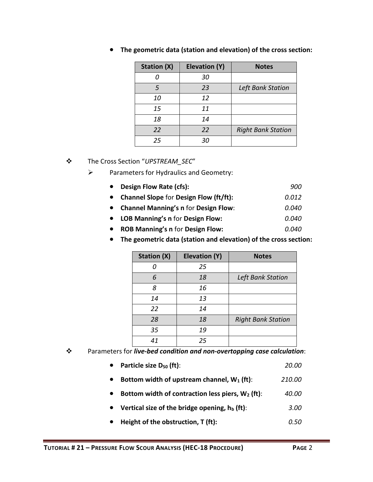| <b>Station (X)</b> | <b>Elevation (Y)</b> | <b>Notes</b>              |
|--------------------|----------------------|---------------------------|
|                    | 30                   |                           |
| 5                  | 23                   | Left Bank Station         |
| 10                 | 12                   |                           |
| 15                 | 11                   |                           |
| 18                 | 14                   |                           |
| 22                 | 22                   | <b>Right Bank Station</b> |
| 25                 | 30                   |                           |

**The geometric data (station and elevation) of the cross section:**

The Cross Section "*UPSTREAM\_SEC*"

- $\triangleright$  Parameters for Hydraulics and Geometry:
	- **Design Flow Rate (cfs):** *900*
	- **Channel Slope** for **Design Flow (ft/ft):** *0.012*
	- **Channel Manning's n** for **Design Flow**: *0.040*
	- **LOB Manning's n** for **Design Flow:** *0.040*
	- **ROB Manning's n** for **Design Flow:** *0.040*
	- **The geometric data (station and elevation) of the cross section:**

| <b>Station (X)</b> | Elevation (Y) | <b>Notes</b>              |
|--------------------|---------------|---------------------------|
|                    | 25            |                           |
| 6                  | 18            | Left Bank Station         |
| 8                  | 16            |                           |
| 14                 | 13            |                           |
| 22                 | 14            |                           |
| 28                 | 18            | <b>Right Bank Station</b> |
| 35                 | 19            |                           |
| 41                 | 25            |                           |

- Parameters for *live-bed condition and non-overtopping case calculation*:
	- **Particle size D<sup>50</sup> (ft)**: *20.00*
	- **Bottom width of upstream channel, W<sup>1</sup> (ft)**: *210.00*
	- **Bottom width of contraction less piers, W<sup>2</sup> (ft)**: *40.00*
	- **Vertical size of the bridge opening, h<sup>b</sup> (ft)**: *3.00*
	- **Height of the obstruction, T (ft):** *0.50*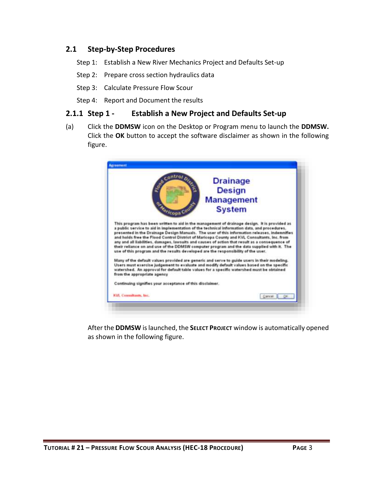## <span id="page-4-0"></span>**2.1 Step-by-Step Procedures**

- Step 1: Establish a New River Mechanics Project and Defaults Set-up
- Step 2: Prepare cross section hydraulics data
- Step 3: Calculate Pressure Flow Scour
- Step 4: Report and Document the results

#### <span id="page-4-1"></span>**2.1.1 Step 1 - Establish a New Project and Defaults Set-up**

(a) Click the **DDMSW** icon on the Desktop or Program menu to launch the **DDMSW.** Click the **OK** button to accept the software disclaimer as shown in the following figure.



After the **DDMSW** is launched, the **SELECT PROJECT** window is automatically opened as shown in the following figure.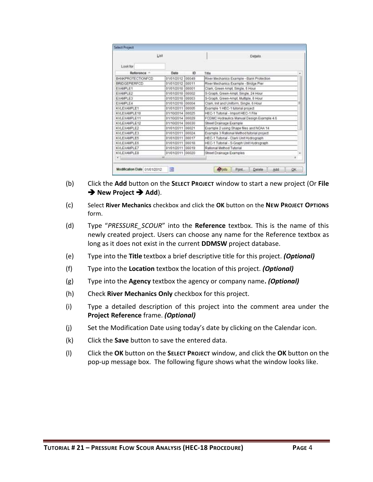|                          | List             |       | Details                                    |                |
|--------------------------|------------------|-------|--------------------------------------------|----------------|
| Lookfor                  |                  |       |                                            |                |
| Reference -              | Date             | ID.   | 10,000<br>Title                            | $\overline{a}$ |
| <b>BANKPROTECTIONFCD</b> | 01/01/2012 00049 |       | River Mechanics Example - Bank Protection  |                |
| <b>BRIDGEPIERFCD</b>     | 01/01/2012 00011 |       | River Mechanics Example - Bridge Pier      |                |
| EXAMPLE1                 | 01/01/2010 00001 |       | Clark, Green Ampt, Single, 6 Hour.         |                |
| EXAMPLE2                 | 01/01/2010       | 00002 | S-Graph, Green-Ampt, Single, 24 Hour       |                |
| <b>EXAMPLE3</b>          | 01/01/2010 00003 |       | S-Graph, Green-Ampt, Multiple, 6 Hour      |                |
| <b>EXAMPLE4</b>          | 01/01/2010 00004 |       | Clark, Init and Uniform, Single, 6 Hour    |                |
| KVLEXAMPLE1              | 01/01/2011 00005 |       | Example 1 HEC-1 tutorial project           |                |
| KVLEXAMPLE10             | 01/10/2014 00025 |       | HEC-1 Tutorial - Import HEC-1 File         |                |
| KVLEXAMPLE11             | 01/10/2014 00029 |       | FCDMC Hydraulics Manual Design Example 4.6 |                |
| KVLEXAMPLE12             | 01/10/2014 00030 |       | Street Drainage Example                    |                |
| KVLEXAMPLE2              | 01/01/2011 00021 |       | Example 2 using Shape files and NOAA 14    |                |
| KVLEXAMPLE3              | 01/01/2011 00024 |       | Example 3 Rational Method tutorial project |                |
| KVLEXAMPLE5              | 01/01/2011 00017 |       | HEC-1 Tutorial - Clark Unit Hydrograph     |                |
| <b>KVLEXAMPLE6</b>       | 01/01/2011 00018 |       | HEC-1 Tutorial - S-Graph Unit Hydrograph   |                |
| KVLEXAMPLE7              | 01/01/2011 00019 |       | Rational Method Tutorial                   |                |
| KVLEXAMPLER              | 01/01/2011 00020 |       | Street Drainage Examples                   |                |
| A Link                   | at.              |       | <b>Contract American Internet</b>          | ٠              |

- (b) Click the **Add** button on the **SELECT PROJECT** window to start a new project (Or **File → New Project → Add**).
- (c) Select **River Mechanics** checkbox and click the **OK** button on the **NEW PROJECT OPTIONS**  form.
- (d) Type "*PRESSURE\_SCOUR*" into the **Reference** textbox. This is the name of this newly created project. Users can choose any name for the Reference textbox as long as it does not exist in the current **DDMSW** project database.
- (e) Type into the **Title** textbox a brief descriptive title for this project. *(Optional)*
- (f) Type into the **Location** textbox the location of this project. *(Optional)*
- (g) Type into the **Agency** textbox the agency or company name**.** *(Optional)*
- (h) Check **River Mechanics Only** checkbox for this project.
- (i) Type a detailed description of this project into the comment area under the **Project Reference** frame. *(Optional)*
- (j) Set the Modification Date using today's date by clicking on the Calendar icon.
- (k) Click the **Save** button to save the entered data.
- (l) Click the **OK** button on the **SELECT PROJECT** window, and click the **OK** button on the pop-up message box. The following figure shows what the window looks like.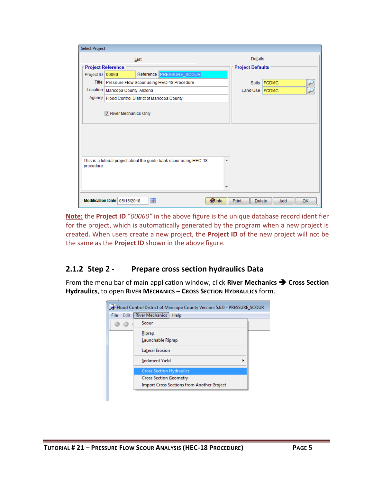| <b>Select Project</b> |                                                                                  |       |                         |    |  |  |
|-----------------------|----------------------------------------------------------------------------------|-------|-------------------------|----|--|--|
|                       | List                                                                             |       | Details                 |    |  |  |
|                       | <b>Project Reference</b>                                                         |       | <b>Project Defaults</b> |    |  |  |
| Project ID            | Reference <b>PRESSURE_SCOUR</b><br>00060                                         |       |                         |    |  |  |
|                       | Title   Pressure Flow Scour using HEC-18 Procedure                               |       | Soils FCDMC             |    |  |  |
|                       | Location   Maricopa County, Arizona                                              |       | Land Use FCDMC          |    |  |  |
|                       | Agency   Flood Control District of Maricopa County                               |       |                         |    |  |  |
|                       | River Mechanics Only                                                             |       |                         |    |  |  |
|                       | This is a tutorial project about the guide bank scour using HEC-18<br>procedure. |       |                         |    |  |  |
|                       | <b>IR</b><br><b>O</b> Info<br>Modification Date 05/15/2018                       | Print | Delete<br>Add           | OK |  |  |

**Note:** the **Project ID** "*00060"* in the above figure is the unique database record identifier for the project, which is automatically generated by the program when a new project is created. When users create a new project, the **Project ID** of the new project will not be the same as the **Project ID** shown in the above figure.

## <span id="page-6-0"></span>**2.1.2 Step 2 - Prepare cross section hydraulics Data**

From the menu bar of main application window, click **River Mechanics Cross Section Hydraulics**, to open **RIVER MECHANICS – CROSS SECTION HYDRAULICS** form.

| Edit<br>File | <b>River Mechanics</b><br>Help                    |  |
|--------------|---------------------------------------------------|--|
|              | Scour                                             |  |
|              | Riprap                                            |  |
|              | Launchable Riprap                                 |  |
|              | <b>Lateral Erosion</b>                            |  |
|              | Sediment Yield                                    |  |
|              | <b>Cross Section Hydraulics</b>                   |  |
|              | <b>Cross Section Geometry</b>                     |  |
|              | <b>Import Cross Sections from Another Project</b> |  |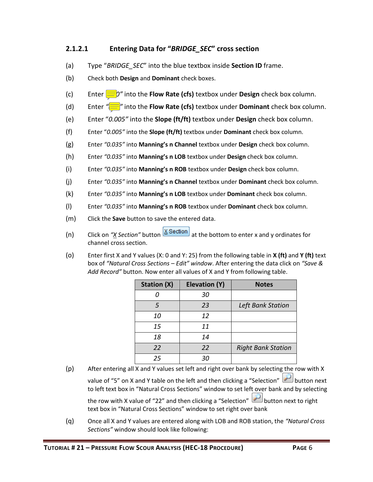#### **2.1.2.1 Entering Data for "***BRIDGE\_SEC***" cross section**

- (a) Type "*BRIDGE\_SEC*" into the blue textbox inside **Section ID** frame.
- (b) Check both **Design** and **Dominant** check boxes.
- (c) Enter  $\frac{d}{dx}$  o<sup>n</sup> into the **Flow Rate (cfs)** textbox under **Design** check box column.
- (d) Enter *"800"* into the **Flow Rate (cfs)** textbox under **Dominant** check box column.
- (e) Enter "*0.005"* into the **Slope (ft/ft)** textbox under **Design** check box column.
- (f) Enter "*0.005"* into the **Slope (ft/ft)** textbox under **Dominant** check box column.
- (g) Enter *"0.035"* into **Manning's n Channel** textbox under **Design** check box column.
- (h) Enter *"0.035"* into **Manning's n LOB** textbox under **Design** check box column.
- (i) Enter *"0.035"* into **Manning's n ROB** textbox under **Design** check box column.
- (j) Enter *"0.035"* into **Manning's n Channel** textbox under **Dominant** check box column.
- (k) Enter *"0.035"* into **Manning's n LOB** textbox under **Dominant** check box column.
- (l) Enter *"0.035"* into **Manning's n ROB** textbox under **Dominant** check box column.
- (m) Click the **Save** button to save the entered data.
- (n) Click on  $\frac{w}{X}$  *Section*" button  $\frac{X}{X}$  *Section* at the bottom to enter x and y ordinates for channel cross section.
- (o) Enter first X and Y values (X: 0 and Y: 25) from the following table in **X (ft)** and **Y (ft)** text box of *"Natural Cross Sections – Edit" window*. After entering the data click on *"Save & Add Record"* button. Now enter all values of X and Y from following table.

| <b>Station (X)</b> | <b>Elevation (Y)</b> | <b>Notes</b>              |
|--------------------|----------------------|---------------------------|
|                    | 30                   |                           |
| 5                  | 23                   | Left Bank Station         |
| 10                 | 12                   |                           |
| 15                 | 11                   |                           |
| 18                 | 14                   |                           |
| 22                 | 22                   | <b>Right Bank Station</b> |
| 25                 | 30                   |                           |

- (p) After entering all X and Y values set left and right over bank by selecting the row with X value of "5" on X and Y table on the left and then clicking a "Selection" button next to left text box in "Natural Cross Sections" window to set left over bank and by selecting the row with X value of "22" and then clicking a "Selection" button next to right text box in "Natural Cross Sections" window to set right over bank
- (q) Once all X and Y values are entered along with LOB and ROB station, the *"Natural Cross Sections"* window should look like following: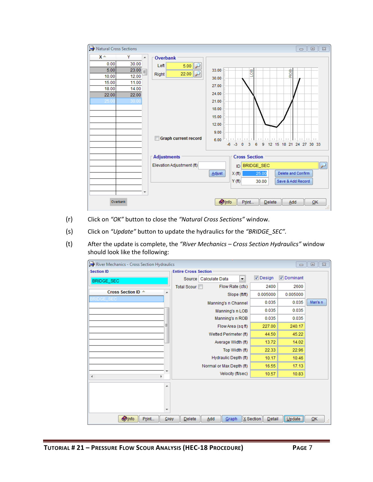| <b>Re</b> Natural Cross Sections                                                                                                                        |                                                                                                                                   | $\Sigma\!3$<br>$\Box$<br>$\qquad \qquad \Box$                                                                                                                                                                       |
|---------------------------------------------------------------------------------------------------------------------------------------------------------|-----------------------------------------------------------------------------------------------------------------------------------|---------------------------------------------------------------------------------------------------------------------------------------------------------------------------------------------------------------------|
| $x -$<br>Y<br>$\overline{a}$<br>0.00<br>30.00<br>5.00<br>23.00<br>12.00<br>10.00<br>15.00<br>11.00<br>18.00<br>14.00<br>22.00<br>22.00<br>30.00<br>25.0 | <b>Overbank</b><br>Left<br>5.00<br>22.00<br>Right<br><b>Graph current record</b><br>П<br>Adjustments<br>Elevation Adjustment (ft) | 33.00<br>®<br>ROB<br>R<br>30.00<br>27.00<br>24.00<br>21.00<br>18.00<br>15.00<br>12.00<br>9.00<br>$-6$ $-3$ 0 3<br>9<br>12 15 18 21 24 27 30 33<br>6<br><b>Cross Section</b><br>$\triangleright$<br>BRIDGE_SEC<br>ID |
|                                                                                                                                                         |                                                                                                                                   | Delete and Confirm<br><b>Adjust</b><br>25.00<br>X(f <sup>t</sup> )<br>Y(f <sup>t</sup> )<br>Save & Add Record<br>30.00                                                                                              |
| Overbank                                                                                                                                                |                                                                                                                                   | <b>O</b> Info<br>Print<br>QK<br>Delete<br>Add<br>Táil                                                                                                                                                               |

- (r) Click on *"OK"* button to close the *"Natural Cross Sections"* window.
- (s) Click on *"Update"* button to update the hydraulics for the *"BRIDGE\_SEC".*
- (t) After the update is complete, the *"River Mechanics – Cross Section Hydraulics"* window should look like the following:

| River Mechanics - Cross Section Hydraulics |                                       |                     | $\qquad \qquad \Box$ | $\Sigma$<br>$\Box$ |
|--------------------------------------------|---------------------------------------|---------------------|----------------------|--------------------|
| <b>Section ID</b>                          | <b>Entire Cross Section</b>           |                     |                      |                    |
| BRIDGE_SEC                                 | Calculate Data<br>Source<br>▼         | $\nabla$ Design     | Dominant             |                    |
|                                            | Flow Rate (cfs)<br><b>Total Scour</b> | 2400                | 2600                 |                    |
| Cross Section ID A                         | A<br>Slope (ft/ft)                    | 0.005000            | 0.005000             |                    |
| RIDGE SE                                   | Manning's n Channel                   | 0.035               | 0.035                | Man's n            |
|                                            | Manning's n LOB                       | 0.035               | 0.035                |                    |
|                                            | Manning's n ROB                       | 0.035               | 0.035                |                    |
|                                            | Flow Area (sq ft)                     | 227.00              | 240.17               |                    |
|                                            | Wetted Perimeter (ft)                 | 44.50               | 45.22                |                    |
|                                            | Average Width (ft)                    | 13.72               | 14.02                |                    |
|                                            | Top Width (ft)                        | 22.33               | 22.96                |                    |
|                                            | Hydraulic Depth (ft)                  | 10.17               | 10.46                |                    |
|                                            | Normal or Max Depth (ft)              | 16.55               | 17.13                |                    |
| k                                          | ٠<br>Velocity (ft/sec)                | 10.57               | 10.83                |                    |
|                                            | ▲                                     |                     |                      |                    |
|                                            |                                       |                     |                      |                    |
|                                            |                                       |                     |                      |                    |
|                                            | $\overline{\phantom{a}}$              |                     |                      |                    |
| <b>O</b> Info<br>Print                     | Delete<br>Add<br>Copy<br>Graph        | X Section<br>Detail | $ $ Update $ $       | QK                 |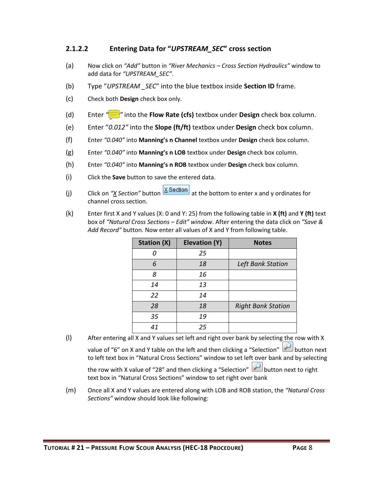#### **2.1.2.2 Entering Data for "***UPSTREAM\_SEC***" cross section**

- (a) Now click on *"Add"* button in *"River Mechanics – Cross Section Hydraulics"* window to add data for *"UPSTREAM\_SEC"*.
- (b) Type "*UPSTREAM \_SEC*" into the blue textbox inside **Section ID** frame.
- (c) Check both **Design** check box only.
- (d) Enter  $\frac{d}{dx}$  into the **Flow Rate (cfs)** textbox under **Design** check box column.
- (e) Enter "*0.012"* into the **Slope (ft/ft)** textbox under **Design** check box column.
- (f) Enter *"0.040"* into **Manning's n Channel** textbox under **Design** check box column.
- (g) Enter *"0.040"* into **Manning's n LOB** textbox under **Design** check box column.
- (h) Enter *"0.040"* into **Manning's n ROB** textbox under **Design** check box column.
- (i) Click the **Save** button to save the entered data.
- (j) Click on "*X* Section" button **X** Section at the bottom to enter x and y ordinates for channel cross section.
- (k) Enter first X and Y values (X: 0 and Y: 25) from the following table in **X (ft)** and **Y (ft)** text box of *"Natural Cross Sections – Edit" window*. After entering the data click on *"Save & Add Record"* button. Now enter all values of X and Y from following table.

| <b>Station (X)</b> | <b>Elevation (Y)</b> | <b>Notes</b>              |
|--------------------|----------------------|---------------------------|
|                    | 25                   |                           |
| 6                  | 18                   | Left Bank Station         |
| 8                  | 16                   |                           |
| 14                 | 13                   |                           |
| 22                 | 14                   |                           |
| 28                 | 18                   | <b>Right Bank Station</b> |
| 35                 | 19                   |                           |
| 41                 | 25                   |                           |

(l) After entering all X and Y values set left and right over bank by selecting the row with X value of "6" on X and Y table on the left and then clicking a "Selection" button next to left text box in "Natural Cross Sections" window to set left over bank and by selecting

the row with X value of "28" and then clicking a "Selection" button next to right text box in "Natural Cross Sections" window to set right over bank

(m) Once all X and Y values are entered along with LOB and ROB station, the *"Natural Cross Sections"* window should look like following: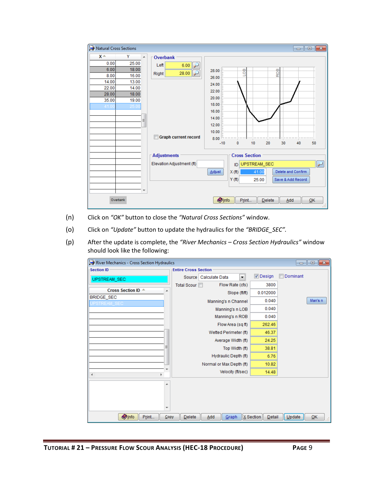| <b>RE</b> Natural Cross Sections                                                                                                                                                      |                                                                                                                              | $\begin{array}{c c c c c c} \hline \multicolumn{3}{c }{\mathbf{C}} & \multicolumn{3}{c }{\mathbf{S}} & \multicolumn{3}{c }{\mathbf{S}} & \multicolumn{3}{c }{\mathbf{S}} & \multicolumn{3}{c }{\mathbf{S}} & \multicolumn{3}{c }{\mathbf{S}} & \multicolumn{3}{c }{\mathbf{S}} & \multicolumn{3}{c }{\mathbf{S}} & \multicolumn{3}{c }{\mathbf{S}} & \multicolumn{3}{c }{\mathbf{S}} & \multicolumn{3}{c }{\mathbf{S}} & \multicolumn{3}{c }{\mathbf$ |
|---------------------------------------------------------------------------------------------------------------------------------------------------------------------------------------|------------------------------------------------------------------------------------------------------------------------------|-------------------------------------------------------------------------------------------------------------------------------------------------------------------------------------------------------------------------------------------------------------------------------------------------------------------------------------------------------------------------------------------------------------------------------------------------------|
| $x -$<br>Y<br>$\blacktriangle$<br>0.00<br>25.00<br>6.00<br>18.00<br>8.00<br>16.00<br>14.00<br>13.00<br>22.00<br>14.00<br>18.00<br>28.00<br>35.00<br>19.00<br>41.00<br>25.00<br>Ξ<br>₹ | Overbank<br>Left<br>6.00<br>28.00<br>Right<br><b>Graph current record</b><br><b>Adjustments</b><br>Elevation Adjustment (ft) | go<br>ROB<br>28.00<br>26.00<br>24.00<br>22.00<br>20.00<br>18.00<br>16.00<br>14.00<br>12.00<br>10.00<br>8.00<br>dumma hanna<br>l marant<br>$-10$<br>10<br>20<br>30<br>50<br>0<br>40<br><b>Cross Section</b><br>$\overline{\mathcal{P}}$<br>UPSTREAM_SEC<br><b>ID</b><br>Delete and Confirm<br>Adjust<br>X(f <sup>t</sup> )<br>41.00<br>Y(f <sup>t</sup> )<br>Save & Add Record<br>25.00                                                                |
| Overbank                                                                                                                                                                              |                                                                                                                              | <b>O</b> Info<br>$\overline{\mathsf{O}}$ K<br>Print<br>Delete<br>Add<br>M                                                                                                                                                                                                                                                                                                                                                                             |

- (n) Click on *"OK"* button to close the *"Natural Cross Sections"* window.
- (o) Click on *"Update"* button to update the hydraulics for the *"BRIDGE\_SEC".*
- (p) After the update is complete, the *"River Mechanics – Cross Section Hydraulics"* window should look like the following:

| River Mechanics - Cross Section Hydraulics |                                       |                     | $\begin{array}{c c c c c c} \hline \multicolumn{3}{c }{\mathbf{C}} & \multicolumn{3}{c }{\mathbf{S}} & \multicolumn{3}{c }{\mathbf{S}} \end{array}$ |
|--------------------------------------------|---------------------------------------|---------------------|-----------------------------------------------------------------------------------------------------------------------------------------------------|
| <b>Section ID</b>                          | <b>Entire Cross Section</b>           |                     |                                                                                                                                                     |
| UPSTREAM_SEC                               | Calculate Data<br>Source<br>۰         | Design              | Dominant                                                                                                                                            |
|                                            | Flow Rate (cfs)<br><b>Total Scour</b> | 3800                |                                                                                                                                                     |
| Cross Section ID A<br>A                    | Slope (ft/ft)                         | 0.012000            |                                                                                                                                                     |
| BRIDGE_SEC                                 | Manning's n Channel                   | 0.040               | Man's n                                                                                                                                             |
|                                            | Manning's n LOB                       | 0.040               |                                                                                                                                                     |
|                                            | Manning's n ROB                       | 0.040               |                                                                                                                                                     |
|                                            | Flow Area (sq ft)                     | 262.46              |                                                                                                                                                     |
|                                            | Wetted Perimeter (ft)                 | 46.37               |                                                                                                                                                     |
|                                            | Average Width (ft)                    | 24.25               |                                                                                                                                                     |
| Ξ                                          | Top Width (ft)                        | 38.81               |                                                                                                                                                     |
|                                            | Hydraulic Depth (ft)                  | 6.76                |                                                                                                                                                     |
|                                            | Normal or Max Depth (ft)              | 10.82               |                                                                                                                                                     |
| k                                          | Velocity (ft/sec)                     | 14.48               |                                                                                                                                                     |
| ۰                                          |                                       |                     |                                                                                                                                                     |
|                                            |                                       |                     |                                                                                                                                                     |
|                                            |                                       |                     |                                                                                                                                                     |
| $\overline{\phantom{a}}$                   |                                       |                     |                                                                                                                                                     |
| <b>Olnfo</b><br>Print<br>Copy              | Delete<br>Add<br>Graph                | X Section<br>Detail | Update<br>QK                                                                                                                                        |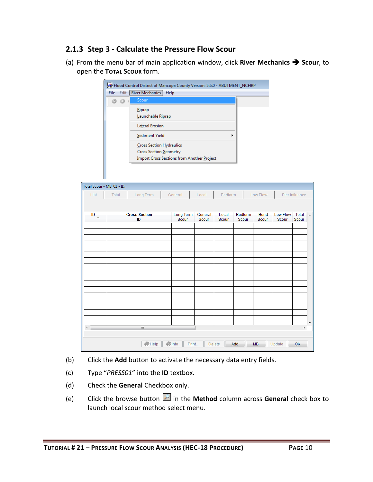## <span id="page-11-0"></span>**2.1.3 Step 3 - Calculate the Pressure Flow Scour**

(a) From the menu bar of main application window, click **River Mechanics Scour**, to open the **TOTAL SCOUR** form.

|               | Flood Control District of Maricopa County Version: 5.6.0 - ABUTMENT_NCHRP                                      |  |
|---------------|----------------------------------------------------------------------------------------------------------------|--|
| Edit<br>File: | River Mechanics<br>Help                                                                                        |  |
|               | Scour                                                                                                          |  |
|               | Riprap<br>Launchable Riprap                                                                                    |  |
|               | <b>Lateral Erosion</b>                                                                                         |  |
|               | Sediment Yield<br>٠                                                                                            |  |
|               | Cross Section Hydraulics<br><b>Cross Section Geometry</b><br><b>Import Cross Sections from Another Project</b> |  |

| Total Scour - MB: 01 - ID: |                      |                          |         |         |                |           |          |                |                |
|----------------------------|----------------------|--------------------------|---------|---------|----------------|-----------|----------|----------------|----------------|
| List                       | Total<br>Long Term   | General                  | Local   | Bedform |                | Low Flow  |          | Pier Influence |                |
|                            |                      |                          |         |         |                |           |          |                |                |
| ID                         | <b>Cross Section</b> | Long Term                | General | Local   | <b>Bedform</b> | Bend      | Low Flow | Total          | $\overline{a}$ |
| $\triangle$                | ID                   | Scour                    | Scour   | Scour   | Scour          | Scour     | Scour    | Scour          |                |
|                            |                      |                          |         |         |                |           |          |                |                |
|                            |                      |                          |         |         |                |           |          |                |                |
|                            |                      |                          |         |         |                |           |          |                |                |
|                            |                      |                          |         |         |                |           |          |                |                |
|                            |                      |                          |         |         |                |           |          |                |                |
|                            |                      |                          |         |         |                |           |          |                |                |
|                            |                      |                          |         |         |                |           |          |                |                |
|                            |                      |                          |         |         |                |           |          |                |                |
|                            |                      |                          |         |         |                |           |          |                |                |
|                            |                      |                          |         |         |                |           |          |                |                |
|                            |                      |                          |         |         |                |           |          |                |                |
|                            |                      |                          |         |         |                |           |          |                |                |
| ∢                          | $\mathbb{H}$         |                          |         |         |                |           |          | k              |                |
|                            |                      |                          |         |         |                |           |          |                |                |
|                            | $\bigotimes$ Help    | $\Diamond$ Info<br>Print | Delete  |         | Add            | <b>MB</b> | Update   | QK             |                |
|                            |                      |                          |         |         |                |           |          |                |                |

- (b) Click the **Add** button to activate the necessary data entry fields.
- (c) Type "*PRESS01*" into the **ID** textbox.
- (d) Check the **General** Checkbox only.
- (e) Click the browse button **in** the **Method** column across **General** check box to launch local scour method select menu.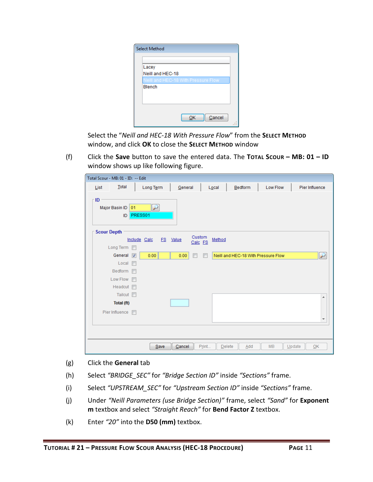| Lacey                               |
|-------------------------------------|
| Neill and HEC-18                    |
| Neill and HEC-18 With Pressure Flow |
| Blench                              |
|                                     |
|                                     |
|                                     |
|                                     |
| Cancel<br>ОΚ                        |

Select the "*Neill and HEC-18 With Pressure Flow*" from the **SELECT METHOD** window, and click **OK** to close the **SELECT METHOD** window

(f) Click the **Save** button to save the entered data. The **TOTAL SCOUR – MB: 01 – ID** window shows up like following figure.

| Total Scour - MB: 01 - ID: -- Edit |                         |                         |              |      |          |                   |       |        |         |                                     |        |                |                  |
|------------------------------------|-------------------------|-------------------------|--------------|------|----------|-------------------|-------|--------|---------|-------------------------------------|--------|----------------|------------------|
| List                               | Total                   |                         | Long Term    |      | General  |                   |       | Local  | Bedform | Low Flow                            |        | Pier Influence |                  |
| ID                                 | Major Basin ID 01<br>ID | PRESS01                 | ₽            |      |          |                   |       |        |         |                                     |        |                |                  |
| <b>Scour Depth</b>                 |                         |                         |              |      |          |                   |       |        |         |                                     |        |                |                  |
|                                    |                         |                         | Include Calc |      | FS Value | Custom<br>Calc FS |       | Method |         |                                     |        |                |                  |
|                                    | Long Term               |                         |              |      |          |                   |       |        |         |                                     |        |                |                  |
|                                    | General                 | $\overline{\mathbf{v}}$ | 0.00         |      | 0.00     | п                 | F     |        |         | Neill and HEC-18 With Pressure Flow |        |                | $\overline{\nu}$ |
|                                    | Local                   | $\Box$                  |              |      |          |                   |       |        |         |                                     |        |                |                  |
|                                    | Bedform                 |                         |              |      |          |                   |       |        |         |                                     |        |                |                  |
|                                    | Low Flow                | m                       |              |      |          |                   |       |        |         |                                     |        |                |                  |
|                                    | Headcut $\Box$          |                         |              |      |          |                   |       |        |         |                                     |        |                |                  |
|                                    | Tailcut <b>n</b>        |                         |              |      |          |                   |       |        |         |                                     |        |                | ▲                |
|                                    | Total (ft)              |                         |              |      |          |                   |       |        |         |                                     |        |                |                  |
|                                    | Pier Influence          | $\blacksquare$          |              |      |          |                   |       |        |         |                                     |        |                | ٠                |
|                                    |                         |                         |              |      |          |                   |       |        |         |                                     |        |                |                  |
|                                    |                         |                         |              | Save | Cancel   |                   | Print | Delete | Add     | <b>MB</b>                           | Update |                | OK               |

- (g) Click the **General** tab
- (h) Select *"BRIDGE\_SEC"* for *"Bridge Section ID"* inside *"Sections"* frame.
- (i) Select *"UPSTREAM\_SEC"* for *"Upstream Section ID"* inside *"Sections"* frame.
- (j) Under *"Neill Parameters (use Bridge Section)"* frame, select *"Sand"* for **Exponent m** textbox and select *"Straight Reach"* for **Bend Factor Z** textbox.
- (k) Enter *"20"* into the **D50 (mm)** textbox.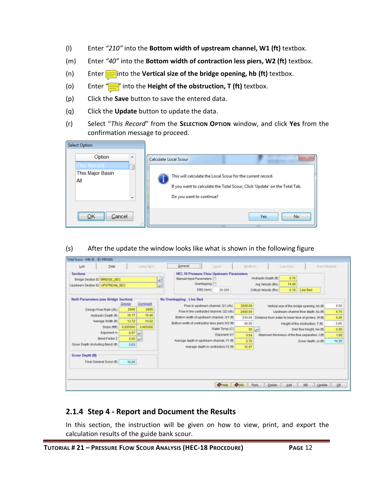- (l) Enter *"210"* into the **Bottom width of upstream channel, W1 (ft)** textbox.
- (m) Enter *"40"* into the **Bottom width of contraction less piers, W2 (ft)** textbox.
- (n) Enter *3* into the **Vertical size of the bridge opening, hb (ft)** textbox.
- (o) Enter "*0.5"* into the **Height of the obstruction, T (ft)** textbox.
- (p) Click the **Save** button to save the entered data.
- (q) Click the **Update** button to update the data.
- (r) Select "*This Record*" from the **SELECTION OPTION** window, and click **Yes** from the confirmation message to proceed.

| <b>Select Option</b>                                                              |                                                                                                                                                                                                |
|-----------------------------------------------------------------------------------|------------------------------------------------------------------------------------------------------------------------------------------------------------------------------------------------|
| Option<br>▴<br>This Record<br>This Major Basin<br>All<br>$\overline{\phantom{a}}$ | Calculate Local Scour<br>This will calculate the Local Scour for the current record.<br>If you want to calculate the Total Scour, Click 'Update' on the Total Tab.<br>Do you want to continue? |
| <br>Cancel<br>48                                                                  | No.<br>Yes                                                                                                                                                                                     |

(s) After the update the window looks like what is shown in the following figure

| List                                                                                 | Total                    |          | Lung Taim. | General                                                                                        | Liscal                                | Budtoni. |                                             | Low Flow      | Partitions:                                            |          |
|--------------------------------------------------------------------------------------|--------------------------|----------|------------|------------------------------------------------------------------------------------------------|---------------------------------------|----------|---------------------------------------------|---------------|--------------------------------------------------------|----------|
| <b>Sections</b><br>Bridge Section ID BRIDGE SEC<br>Upstream Section ID LIPSTREAM SEC |                          |          |            | <b>HEC.18 Pressure Flow Upstream Parameters</b><br>Manual Input Parameters<br>Overlopping<br>u |                                       |          | Hydraulic Depth (ft)<br>Avg Velocity (ft/s) | 6.75<br>14.48 |                                                        |          |
|                                                                                      |                          |          |            | D50 (mm)                                                                                       | 20.000                                |          | Critical Velocity (ft/s)                    | 6.19          | <b>Live Bed</b>                                        |          |
| <b>Neill Parameters (use Bridge Section)</b>                                         |                          |          |            | No Overtopping - Live Bed                                                                      |                                       |          |                                             |               |                                                        |          |
|                                                                                      |                          | Design   | Dominant   | Flow in upstream channel, Q1 (cfs)                                                             |                                       | 3249.00  |                                             |               | Vertical size of the bridge opening, hb (ft)           | 6.50     |
|                                                                                      | Design Flow Rate (cfs)   | 2400     | 2800       | Flow in the contracted channel, Q2 (cfs)                                                       |                                       | 2400.00  |                                             |               | Upstream channel flow depth, hu (ft)                   | 6.76     |
|                                                                                      | Hydraulic Depth (ft)     | 50.17    | 10:46      | Bottom width of upstream channel, W1 (ft)                                                      |                                       | 210.00   |                                             |               | Distance from water to lower face of girders, ht (ft). | $0 - 26$ |
|                                                                                      | Average Width (ft)       | 13.72    | 14.02      | Bottom width of contraction less piers W2 (ft)                                                 |                                       | 40.00    |                                             |               | Height of the obstruction, T (ft)                      | 3.00     |
|                                                                                      | Slope (Rft)              | 0.005000 | 0.005000   |                                                                                                | Water Temp (C)                        | 20       | w                                           |               | Weir flow height, hw (ft)                              | 0.00     |
|                                                                                      | Exponent m               | 0.67     | <b>I</b>   |                                                                                                | Exponent, K1                          | 0.64     |                                             |               | Maximum thickness of the flow separation. I (ft)       | 1.68     |
|                                                                                      | Bend Factor Z            | 0.50     | L, 2       | Average depth in upstream channel. Y1 (ft)                                                     |                                       | 6.76     |                                             |               | Scour depth, ya (ft)                                   | 10.25    |
| Scour Depth (Including Bend) (ft)                                                    |                          | 5.03     |            |                                                                                                | Average depth in contraction, Y2 (ft) | 15.07    |                                             |               |                                                        |          |
| Scour Depth (ft)                                                                     | Final General Scour (ft) | 10.25    |            |                                                                                                |                                       |          |                                             |               |                                                        |          |
|                                                                                      |                          |          |            |                                                                                                | <b>O</b> Help                         | @into    | Pont<br>Delate.                             | Add           | <b>NB</b><br>Lipdate                                   | OK       |

## <span id="page-13-0"></span>**2.1.4 Step 4 - Report and Document the Results**

In this section, the instruction will be given on how to view, print, and export the calculation results of the guide bank scour.